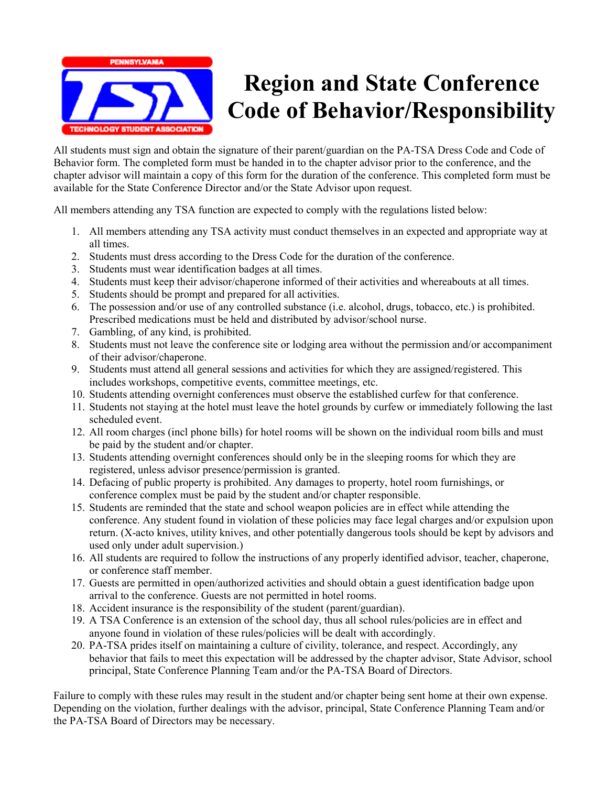

### **Region and State Conference Code of Behavior/Responsibility**

All students must sign and obtain the signature of their parent/guardian on the PA-TSA Dress Code and Code of Behavior form. The completed form must be handed in to the chapter advisor prior to the conference, and the chapter advisor will maintain a copy of this form for the duration of the conference. This completed form must be available for the State Conference Director and/or the State Advisor upon request.

All members attending any TSA function are expected to comply with the regulations listed below:

- 1. All members attending any TSA activity must conduct themselves in an expected and appropriate way at all times.
- 2. Students must dress according to the Dress Code for the duration of the conference.
- 3. Students must wear identification badges at all times.
- 4. Students must keep their advisor/chaperone informed of their activities and whereabouts at all times.
- 5. Students should be prompt and prepared for all activities.
- 6. The possession and/or use of any controlled substance (i.e. alcohol, drugs, tobacco, etc.) is prohibited. Prescribed medications must be held and distributed by advisor/school nurse.
- 7. Gambling, of any kind, is prohibited.
- 8. Students must not leave the conference site or lodging area without the permission and/or accompaniment of their advisor/chaperone.
- 9. Students must attend all general sessions and activities for which they are assigned/registered. This includes workshops, competitive events, committee meetings, etc.
- 10. Students attending overnight conferences must observe the established curfew for that conference.
- 11. Students not staying at the hotel must leave the hotel grounds by curfew or immediately following the last scheduled event.
- 12. All room charges (incl phone bills) for hotel rooms will be shown on the individual room bills and must be paid by the student and/or chapter.
- 13. Students attending overnight conferences should only be in the sleeping rooms for which they are registered, unless advisor presence/permission is granted.
- 14. Defacing of public property is prohibited. Any damages to property, hotel room furnishings, or conference complex must be paid by the student and/or chapter responsible.
- 15. Students are reminded that the state and school weapon policies are in effect while attending the conference. Any student found in violation of these policies may face legal charges and/or expulsion upon return. (X-acto knives, utility knives, and other potentially dangerous tools should be kept by advisors and used only under adult supervision.)
- 16. All students are required to follow the instructions of any properly identified advisor, teacher, chaperone, or conference staff member.
- 17. Guests are permitted in open/authorized activities and should obtain a guest identification badge upon arrival to the conference. Guests are not permitted in hotel rooms.
- 18. Accident insurance is the responsibility of the student (parent/guardian).
- 19. A TSA Conference is an extension of the school day, thus all school rules/policies are in effect and anyone found in violation of these rules/policies will be dealt with accordingly.
- 20. PA-TSA prides itself on maintaining a culture of civility, tolerance, and respect. Accordingly, any behavior that fails to meet this expectation will be addressed by the chapter advisor, State Advisor, school principal, State Conference Planning Team and/or the PA-TSA Board of Directors.

Failure to comply with these rules may result in the student and/or chapter being sent home at their own expense. Depending on the violation, further dealings with the advisor, principal, State Conference Planning Team and/or the PA-TSA Board of Directors may be necessary.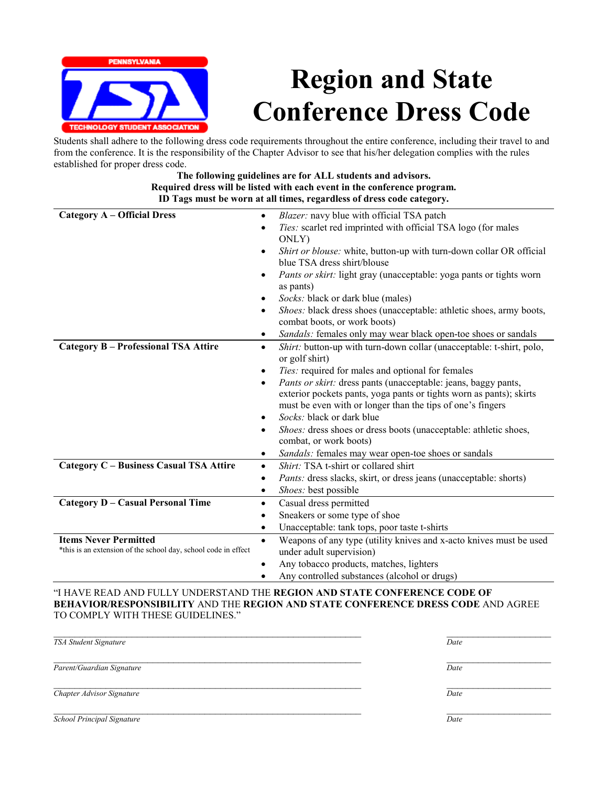

## **Region and State Conference Dress Code**

Students shall adhere to the following dress code requirements throughout the entire conference, including their travel to and from the conference. It is the responsibility of the Chapter Advisor to see that his/her delegation complies with the rules established for proper dress code.

#### **The following guidelines are for ALL students and advisors. Required dress will be listed with each event in the conference program. ID Tags must be worn at all times, regardless of dress code category.**

| <b>Category A – Official Dress</b>                             | Blazer: navy blue with official TSA patch<br>٠                                                      |
|----------------------------------------------------------------|-----------------------------------------------------------------------------------------------------|
|                                                                | Ties: scarlet red imprinted with official TSA logo (for males                                       |
|                                                                | ONLY)                                                                                               |
|                                                                | Shirt or blouse: white, button-up with turn-down collar OR official                                 |
|                                                                | blue TSA dress shirt/blouse                                                                         |
|                                                                | Pants or skirt: light gray (unacceptable: yoga pants or tights worn<br>$\bullet$<br>as pants)       |
|                                                                | Socks: black or dark blue (males)<br>٠                                                              |
|                                                                | Shoes: black dress shoes (unacceptable: athletic shoes, army boots,<br>combat boots, or work boots) |
|                                                                | Sandals: females only may wear black open-toe shoes or sandals<br>$\bullet$                         |
| <b>Category B - Professional TSA Attire</b>                    | Shirt: button-up with turn-down collar (unacceptable: t-shirt, polo,<br>$\bullet$<br>or golf shirt) |
|                                                                | Ties: required for males and optional for females<br>٠                                              |
|                                                                | <i>Pants or skirt:</i> dress pants (unacceptable: jeans, baggy pants,<br>٠                          |
|                                                                | exterior pockets pants, yoga pants or tights worn as pants); skirts                                 |
|                                                                | must be even with or longer than the tips of one's fingers                                          |
|                                                                | <i>Socks:</i> black or dark blue<br>٠                                                               |
|                                                                | <i>Shoes:</i> dress shoes or dress boots (unacceptable: athletic shoes,<br>٠                        |
|                                                                | combat, or work boots)                                                                              |
|                                                                | Sandals: females may wear open-toe shoes or sandals<br>٠                                            |
| Category C - Business Casual TSA Attire                        | Shirt: TSA t-shirt or collared shirt<br>$\bullet$                                                   |
|                                                                | Pants: dress slacks, skirt, or dress jeans (unacceptable: shorts)<br>$\bullet$                      |
|                                                                | Shoes: best possible<br>٠                                                                           |
| <b>Category D - Casual Personal Time</b>                       | Casual dress permitted<br>٠                                                                         |
|                                                                | Sneakers or some type of shoe<br>$\bullet$                                                          |
|                                                                | Unacceptable: tank tops, poor taste t-shirts<br>٠                                                   |
| <b>Items Never Permitted</b>                                   | Weapons of any type (utility knives and x-acto knives must be used<br>$\bullet$                     |
| *this is an extension of the school day, school code in effect | under adult supervision)                                                                            |
|                                                                | Any tobacco products, matches, lighters<br>$\bullet$                                                |
|                                                                | Any controlled substances (alcohol or drugs)                                                        |

"I HAVE READ AND FULLY UNDERSTAND THE **REGION AND STATE CONFERENCE CODE OF BEHAVIOR/RESPONSIBILITY** AND THE **REGION AND STATE CONFERENCE DRESS CODE** AND AGREE TO COMPLY WITH THESE GUIDELINES."

| TSA Student Signature      | Date |
|----------------------------|------|
|                            |      |
| Parent/Guardian Signature  | Date |
| Chapter Advisor Signature  | Date |
| School Principal Signature | Date |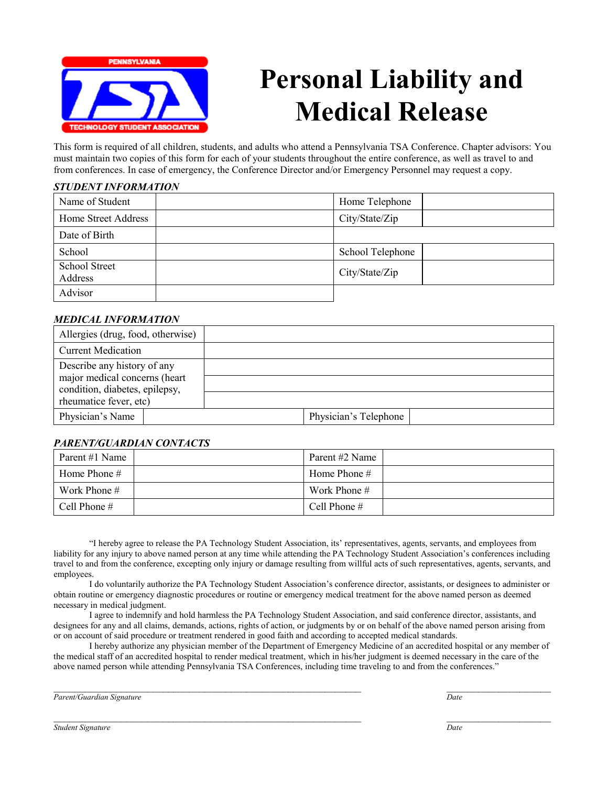

### **Personal Liability and Medical Release**

This form is required of all children, students, and adults who attend a Pennsylvania TSA Conference. Chapter advisors: You must maintain two copies of this form for each of your students throughout the entire conference, as well as travel to and from conferences. In case of emergency, the Conference Director and/or Emergency Personnel may request a copy.

#### *STUDENT INFORMATION*

| Name of Student                 | Home Telephone   |  |
|---------------------------------|------------------|--|
| Home Street Address             | City/State/Zip   |  |
| Date of Birth                   |                  |  |
| School                          | School Telephone |  |
| <b>School Street</b><br>Address | City/State/Zip   |  |
| Advisor                         |                  |  |

#### *MEDICAL INFORMATION*

| Physician's Telephone |
|-----------------------|
|                       |

#### *PARENT/GUARDIAN CONTACTS*

| Parent #1 Name | Parent #2 Name |  |
|----------------|----------------|--|
| Home Phone $#$ | Home Phone $#$ |  |
| Work Phone $#$ | Work Phone #   |  |
| Cell Phone #   | Cell Phone $#$ |  |

"I hereby agree to release the PA Technology Student Association, its' representatives, agents, servants, and employees from liability for any injury to above named person at any time while attending the PA Technology Student Association's conferences including travel to and from the conference, excepting only injury or damage resulting from willful acts of such representatives, agents, servants, and employees.

I do voluntarily authorize the PA Technology Student Association's conference director, assistants, or designees to administer or obtain routine or emergency diagnostic procedures or routine or emergency medical treatment for the above named person as deemed necessary in medical judgment.

I agree to indemnify and hold harmless the PA Technology Student Association, and said conference director, assistants, and designees for any and all claims, demands, actions, rights of action, or judgments by or on behalf of the above named person arising from or on account of said procedure or treatment rendered in good faith and according to accepted medical standards.

I hereby authorize any physician member of the Department of Emergency Medicine of an accredited hospital or any member of the medical staff of an accredited hospital to render medical treatment, which in his/her judgment is deemed necessary in the care of the above named person while attending Pennsylvania TSA Conferences, including time traveling to and from the conferences."

 $\_$  , and the state of the state of the state of the state of the state of the state of the state of the state of the state of the state of the state of the state of the state of the state of the state of the state of the

 $\_$  , and the state of the state of the state of the state of the state of the state of the state of the state of the state of the state of the state of the state of the state of the state of the state of the state of the *Parent/Guardian Signature Date*